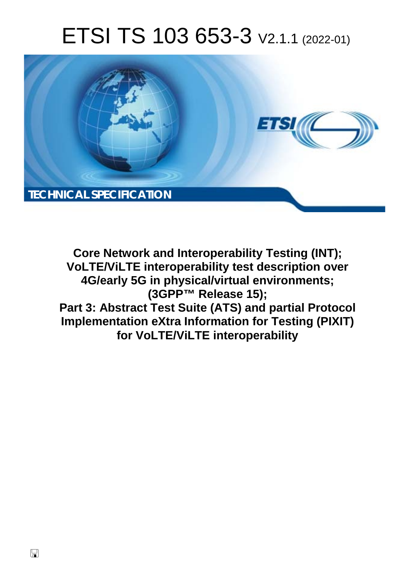# ETSI TS 103 653-3 V2.1.1 (2022-01)



**Core Network and Interoperability Testing (INT); VoLTE/ViLTE interoperability test description over 4G/early 5G in physical/virtual environments; (3GPP™ Release 15); Part 3: Abstract Test Suite (ATS) and partial Protocol Implementation eXtra Information for Testing (PIXIT) for VoLTE/ViLTE interoperability**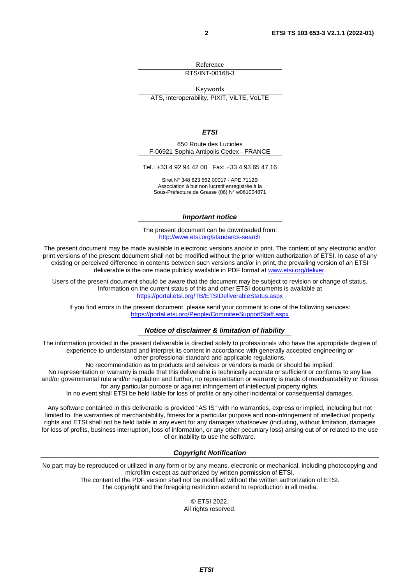Reference

RTS/INT-00168-3

Keywords

ATS, interoperability, PIXIT, ViLTE, VoLTE

#### *ETSI*

650 Route des Lucioles F-06921 Sophia Antipolis Cedex - FRANCE

Tel.: +33 4 92 94 42 00 Fax: +33 4 93 65 47 16

Siret N° 348 623 562 00017 - APE 7112B Association à but non lucratif enregistrée à la Sous-Préfecture de Grasse (06) N° w061004871

#### *Important notice*

The present document can be downloaded from: <http://www.etsi.org/standards-search>

The present document may be made available in electronic versions and/or in print. The content of any electronic and/or print versions of the present document shall not be modified without the prior written authorization of ETSI. In case of any existing or perceived difference in contents between such versions and/or in print, the prevailing version of an ETSI deliverable is the one made publicly available in PDF format at [www.etsi.org/deliver](http://www.etsi.org/deliver).

Users of the present document should be aware that the document may be subject to revision or change of status. Information on the current status of this and other ETSI documents is available at <https://portal.etsi.org/TB/ETSIDeliverableStatus.aspx>

If you find errors in the present document, please send your comment to one of the following services: <https://portal.etsi.org/People/CommiteeSupportStaff.aspx>

#### *Notice of disclaimer & limitation of liability*

The information provided in the present deliverable is directed solely to professionals who have the appropriate degree of experience to understand and interpret its content in accordance with generally accepted engineering or other professional standard and applicable regulations.

No recommendation as to products and services or vendors is made or should be implied.

No representation or warranty is made that this deliverable is technically accurate or sufficient or conforms to any law and/or governmental rule and/or regulation and further, no representation or warranty is made of merchantability or fitness for any particular purpose or against infringement of intellectual property rights.

In no event shall ETSI be held liable for loss of profits or any other incidental or consequential damages.

Any software contained in this deliverable is provided "AS IS" with no warranties, express or implied, including but not limited to, the warranties of merchantability, fitness for a particular purpose and non-infringement of intellectual property rights and ETSI shall not be held liable in any event for any damages whatsoever (including, without limitation, damages for loss of profits, business interruption, loss of information, or any other pecuniary loss) arising out of or related to the use of or inability to use the software.

#### *Copyright Notification*

No part may be reproduced or utilized in any form or by any means, electronic or mechanical, including photocopying and microfilm except as authorized by written permission of ETSI. The content of the PDF version shall not be modified without the written authorization of ETSI.

The copyright and the foregoing restriction extend to reproduction in all media.

© ETSI 2022. All rights reserved.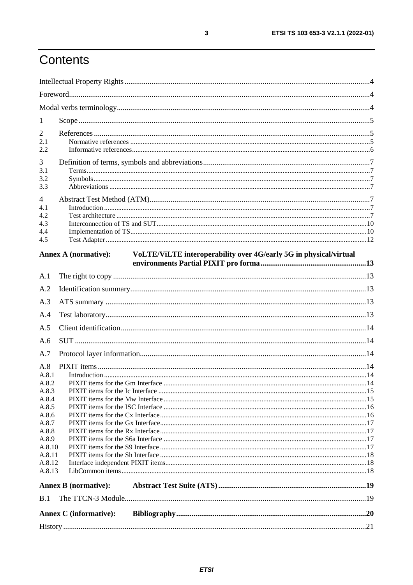# Contents

| $\mathbf{1}$   |                                                                                                  |  |
|----------------|--------------------------------------------------------------------------------------------------|--|
| 2              |                                                                                                  |  |
| 2.1            |                                                                                                  |  |
| 2.2            |                                                                                                  |  |
| 3              |                                                                                                  |  |
| 3.1            |                                                                                                  |  |
| 3.2            |                                                                                                  |  |
| 3.3            |                                                                                                  |  |
| 4              |                                                                                                  |  |
| 4.1            |                                                                                                  |  |
| 4.2            |                                                                                                  |  |
| 4.3<br>4.4     |                                                                                                  |  |
| 4.5            |                                                                                                  |  |
|                |                                                                                                  |  |
|                | <b>Annex A (normative):</b><br>VoLTE/ViLTE interoperability over 4G/early 5G in physical/virtual |  |
|                |                                                                                                  |  |
| A.1            |                                                                                                  |  |
| A.2            |                                                                                                  |  |
| A.3            |                                                                                                  |  |
| A.4            |                                                                                                  |  |
| A.5            |                                                                                                  |  |
| A.6            |                                                                                                  |  |
| A.7            |                                                                                                  |  |
| A.8            |                                                                                                  |  |
| A.8.1          |                                                                                                  |  |
| A.8.2          |                                                                                                  |  |
| A.8.3          |                                                                                                  |  |
| A.8.4          |                                                                                                  |  |
| A.8.5          |                                                                                                  |  |
| A.8.6<br>A.8.7 |                                                                                                  |  |
| A.8.8          |                                                                                                  |  |
| A.8.9          |                                                                                                  |  |
| A.8.10         |                                                                                                  |  |
| A.8.11         |                                                                                                  |  |
| A.8.12         |                                                                                                  |  |
| A.8.13         |                                                                                                  |  |
|                | <b>Annex B</b> (normative):                                                                      |  |
| B.1            |                                                                                                  |  |
|                | <b>Annex C</b> (informative):                                                                    |  |
|                |                                                                                                  |  |
|                |                                                                                                  |  |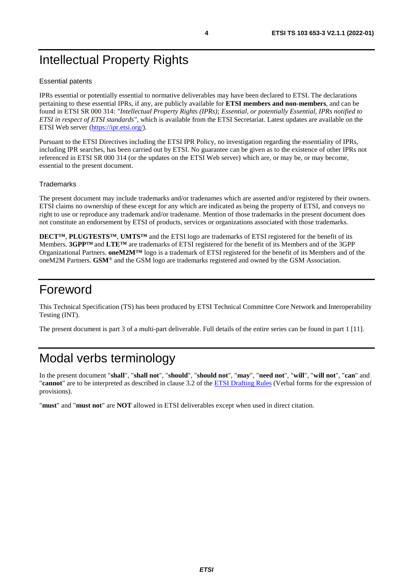# <span id="page-3-0"></span>Intellectual Property Rights

#### Essential patents

IPRs essential or potentially essential to normative deliverables may have been declared to ETSI. The declarations pertaining to these essential IPRs, if any, are publicly available for **ETSI members and non-members**, and can be found in ETSI SR 000 314: *"Intellectual Property Rights (IPRs); Essential, or potentially Essential, IPRs notified to ETSI in respect of ETSI standards"*, which is available from the ETSI Secretariat. Latest updates are available on the ETSI Web server ([https://ipr.etsi.org/\)](https://ipr.etsi.org/).

Pursuant to the ETSI Directives including the ETSI IPR Policy, no investigation regarding the essentiality of IPRs, including IPR searches, has been carried out by ETSI. No guarantee can be given as to the existence of other IPRs not referenced in ETSI SR 000 314 (or the updates on the ETSI Web server) which are, or may be, or may become, essential to the present document.

#### **Trademarks**

The present document may include trademarks and/or tradenames which are asserted and/or registered by their owners. ETSI claims no ownership of these except for any which are indicated as being the property of ETSI, and conveys no right to use or reproduce any trademark and/or tradename. Mention of those trademarks in the present document does not constitute an endorsement by ETSI of products, services or organizations associated with those trademarks.

**DECT™**, **PLUGTESTS™**, **UMTS™** and the ETSI logo are trademarks of ETSI registered for the benefit of its Members. **3GPP™** and **LTE™** are trademarks of ETSI registered for the benefit of its Members and of the 3GPP Organizational Partners. **oneM2M™** logo is a trademark of ETSI registered for the benefit of its Members and of the oneM2M Partners. **GSM**® and the GSM logo are trademarks registered and owned by the GSM Association.

# Foreword

This Technical Specification (TS) has been produced by ETSI Technical Committee Core Network and Interoperability Testing (INT).

The present document is part 3 of a multi-part deliverable. Full details of the entire series can be found in part 1 [[11](#page-5-0)].

# Modal verbs terminology

In the present document "**shall**", "**shall not**", "**should**", "**should not**", "**may**", "**need not**", "**will**", "**will not**", "**can**" and "**cannot**" are to be interpreted as described in clause 3.2 of the [ETSI Drafting Rules](https://portal.etsi.org/Services/editHelp!/Howtostart/ETSIDraftingRules.aspx) (Verbal forms for the expression of provisions).

"**must**" and "**must not**" are **NOT** allowed in ETSI deliverables except when used in direct citation.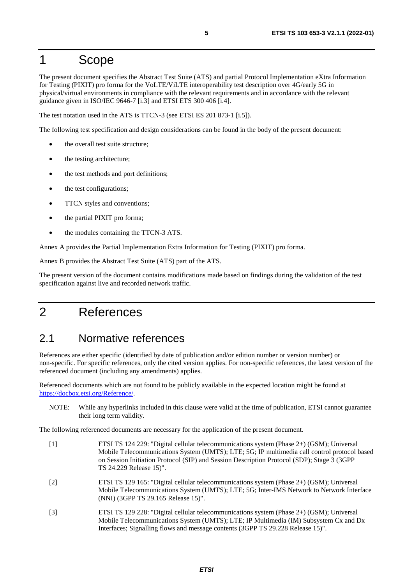### <span id="page-4-0"></span>1 Scope

The present document specifies the Abstract Test Suite (ATS) and partial Protocol Implementation eXtra Information for Testing (PIXIT) pro forma for the VoLTE/ViLTE interoperability test description over 4G/early 5G in physical/virtual environments in compliance with the relevant requirements and in accordance with the relevant guidance given in ISO/IEC 9646-7 [[i.3](#page-5-0)] and ETSI ETS 300 406 [\[i.4](#page-5-0)].

The test notation used in the ATS is TTCN-3 (see ETSI ES 201 873-1 [\[i.5](#page-5-0)]).

The following test specification and design considerations can be found in the body of the present document:

- the overall test suite structure:
- the testing architecture;
- the test methods and port definitions;
- the test configurations;
- TTCN styles and conventions;
- the partial PIXIT pro forma;
- the modules containing the TTCN-3 ATS.

Annex A provides the Partial Implementation Extra Information for Testing (PIXIT) pro forma.

Annex B provides the Abstract Test Suite (ATS) part of the ATS.

The present version of the document contains modifications made based on findings during the validation of the test specification against live and recorded network traffic.

### 2 References

#### 2.1 Normative references

References are either specific (identified by date of publication and/or edition number or version number) or non-specific. For specific references, only the cited version applies. For non-specific references, the latest version of the referenced document (including any amendments) applies.

Referenced documents which are not found to be publicly available in the expected location might be found at <https://docbox.etsi.org/Reference/>.

NOTE: While any hyperlinks included in this clause were valid at the time of publication, ETSI cannot guarantee their long term validity.

The following referenced documents are necessary for the application of the present document.

[1] ETSI TS 124 229: "Digital cellular telecommunications system (Phase 2+) (GSM); Universal Mobile Telecommunications System (UMTS); LTE; 5G; IP multimedia call control protocol based on Session Initiation Protocol (SIP) and Session Description Protocol (SDP); Stage 3 (3GPP TS 24.229 Release 15)". [2] ETSI TS 129 165: "Digital cellular telecommunications system (Phase 2+) (GSM); Universal Mobile Telecommunications System (UMTS); LTE; 5G; Inter-IMS Network to Network Interface (NNI) (3GPP TS 29.165 Release 15)". [3] ETSI TS 129 228: "Digital cellular telecommunications system (Phase 2+) (GSM); Universal Mobile Telecommunications System (UMTS); LTE; IP Multimedia (IM) Subsystem Cx and Dx Interfaces; Signalling flows and message contents (3GPP TS 29.228 Release 15)".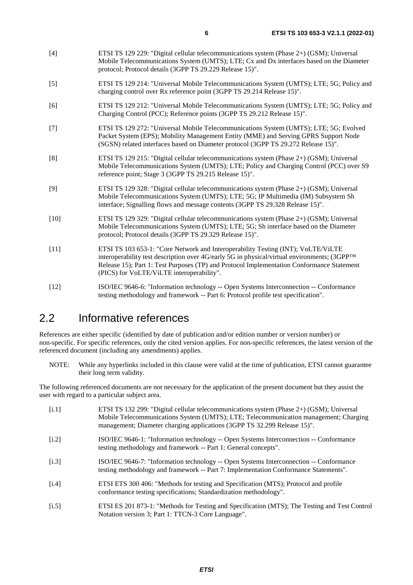- <span id="page-5-0"></span>[4] ETSI TS 129 229: "Digital cellular telecommunications system (Phase 2+) (GSM); Universal Mobile Telecommunications System (UMTS); LTE; Cx and Dx interfaces based on the Diameter protocol; Protocol details (3GPP TS 29.229 Release 15)".
- [5] ETSI TS 129 214: "Universal Mobile Telecommunications System (UMTS); LTE; 5G; Policy and charging control over Rx reference point (3GPP TS 29.214 Release 15)".
- [6] ETSI TS 129 212: "Universal Mobile Telecommunications System (UMTS); LTE; 5G; Policy and Charging Control (PCC); Reference points (3GPP TS 29.212 Release 15)".
- [7] ETSI TS 129 272: "Universal Mobile Telecommunications System (UMTS); LTE; 5G; Evolved Packet System (EPS); Mobility Management Entity (MME) and Serving GPRS Support Node (SGSN) related interfaces based on Diameter protocol (3GPP TS 29.272 Release 15)".
- [8] ETSI TS 129 215: "Digital cellular telecommunications system (Phase 2+) (GSM); Universal Mobile Telecommunications System (UMTS); LTE; Policy and Charging Control (PCC) over S9 reference point; Stage 3 (3GPP TS 29.215 Release 15)".
- [9] ETSI TS 129 328: "Digital cellular telecommunications system (Phase 2+) (GSM); Universal Mobile Telecommunications System (UMTS); LTE; 5G; IP Multimedia (IM) Subsystem Sh interface; Signalling flows and message contents (3GPP TS 29.328 Release 15)".
- [10] ETSI TS 129 329: "Digital cellular telecommunications system (Phase 2+) (GSM); Universal Mobile Telecommunications System (UMTS); LTE; 5G; Sh interface based on the Diameter protocol; Protocol details (3GPP TS 29.329 Release 15)".
- [11] ETSI TS 103 653-1: "Core Network and Interoperability Testing (INT); VoLTE/ViLTE interoperability test description over 4G/early 5G in physical/virtual environments; (3GPP™ Release 15); Part 1: Test Purposes (TP) and Protocol Implementation Conformance Statement (PICS) for VoLTE/ViLTE interoperability".
- [12] ISO/IEC 9646-6: "Information technology -- Open Systems Interconnection -- Conformance testing methodology and framework -- Part 6: Protocol profile test specification".

### 2.2 Informative references

References are either specific (identified by date of publication and/or edition number or version number) or non-specific. For specific references, only the cited version applies. For non-specific references, the latest version of the referenced document (including any amendments) applies.

NOTE: While any hyperlinks included in this clause were valid at the time of publication, ETSI cannot guarantee their long term validity.

The following referenced documents are not necessary for the application of the present document but they assist the user with regard to a particular subject area.

- [i.1] ETSI TS 132 299: "Digital cellular telecommunications system (Phase 2+) (GSM); Universal Mobile Telecommunications System (UMTS); LTE; Telecommunication management; Charging management; Diameter charging applications (3GPP TS 32.299 Release 15)".
- [i.2] ISO/IEC 9646-1: "Information technology -- Open Systems Interconnection -- Conformance testing methodology and framework -- Part 1: General concepts".
- [i.3] ISO/IEC 9646-7: "Information technology -- Open Systems Interconnection -- Conformance testing methodology and framework -- Part 7: Implementation Conformance Statements".
- [i.4] ETSI ETS 300 406: "Methods for testing and Specification (MTS); Protocol and profile conformance testing specifications; Standardization methodology".
- [i.5] ETSI ES 201 873-1: "Methods for Testing and Specification (MTS); The Testing and Test Control Notation version 3; Part 1: TTCN-3 Core Language".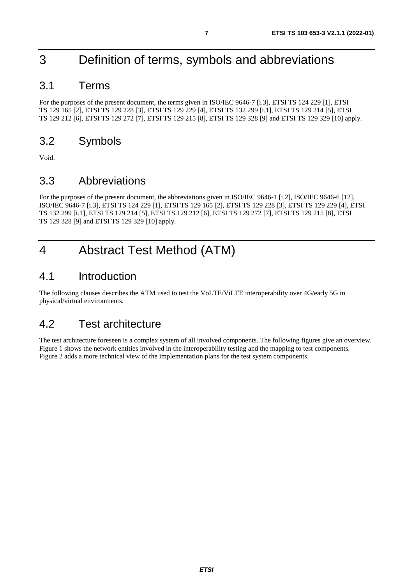# <span id="page-6-0"></span>3 Definition of terms, symbols and abbreviations

### 3.1 Terms

For the purposes of the present document, the terms given in ISO/IEC 9646-7 [\[i.3\]](#page-5-0), ETSI TS 124 229 [\[1](#page-4-0)], ETSI TS 129 165 [\[2](#page-4-0)], ETSI TS 129 228 [\[3\]](#page-4-0), ETSI TS 129 229 [[4\]](#page-5-0), ETSI TS 132 299 [[i.1](#page-5-0)], ETSI TS 129 214 [\[5](#page-5-0)], ETSI TS 129 212 [\[6](#page-5-0)], ETSI TS 129 272 [\[7\]](#page-5-0), ETSI TS 129 215 [[8\]](#page-5-0), ETSI TS 129 328 [[9](#page-5-0)] and ETSI TS 129 329 [\[10\]](#page-5-0) apply.

### 3.2 Symbols

Void.

### 3.3 Abbreviations

For the purposes of the present document, the abbreviations given in ISO/IEC 9646-1 [[i.2](#page-5-0)], ISO/IEC 9646-6 [\[12](#page-5-0)], ISO/IEC 9646-7 [[i.3](#page-5-0)], ETSI TS 124 229 [\[1](#page-4-0)], ETSI TS 129 165 [\[2\]](#page-4-0), ETSI TS 129 228 [[3\]](#page-4-0), ETSI TS 129 229 [[4](#page-5-0)], ETSI TS 132 299 [\[i.1\]](#page-5-0), ETSI TS 129 214 [[5\]](#page-5-0), ETSI TS 129 212 [[6](#page-5-0)], ETSI TS 129 272 [[7](#page-5-0)], ETSI TS 129 215 [\[8](#page-5-0)], ETSI TS 129 328 [\[9](#page-5-0)] and ETSI TS 129 329 [[10](#page-5-0)] apply.

# 4 Abstract Test Method (ATM)

### 4.1 Introduction

The following clauses describes the ATM used to test the VoLTE/ViLTE interoperability over 4G/early 5G in physical/virtual environments.

### 4.2 Test architecture

The test architecture foreseen is a complex system of all involved components. The following figures give an overview. [Figure 1](#page-7-0) shows the network entities involved in the interoperability testing and the mapping to test components. [Figure 2](#page-8-0) adds a more technical view of the implementation plans for the test system components.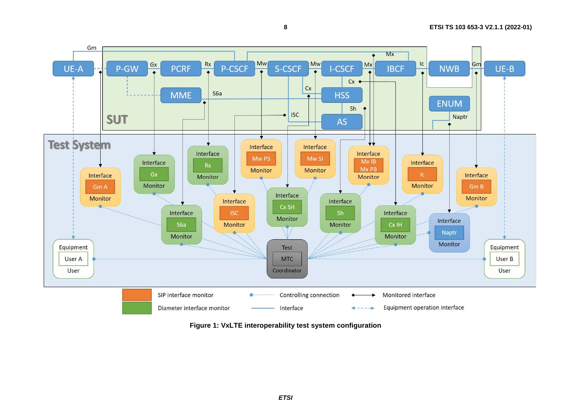<span id="page-7-0"></span>

**8**

**Figure 1: VxLTE interoperability test system configuration**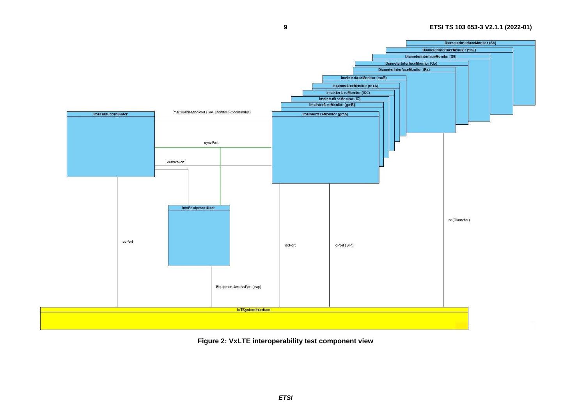<span id="page-8-0"></span>

**9**

**Figure 2: VxLTE interoperability test component view**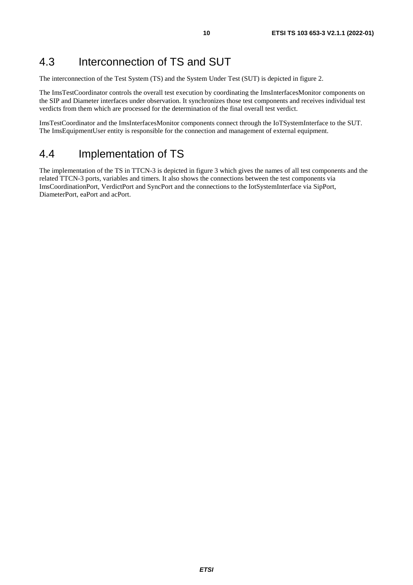### <span id="page-9-0"></span>4.3 Interconnection of TS and SUT

The interconnection of the Test System (TS) and the System Under Test (SUT) is depicted in figure 2.

The ImsTestCoordinator controls the overall test execution by coordinating the ImsInterfacesMonitor components on the SIP and Diameter interfaces under observation. It synchronizes those test components and receives individual test verdicts from them which are processed for the determination of the final overall test verdict.

ImsTestCoordinator and the ImsInterfacesMonitor components connect through the IoTSystemInterface to the SUT. The ImsEquipmentUser entity is responsible for the connection and management of external equipment.

#### 4.4 Implementation of TS

The implementation of the TS in TTCN-3 is depicted in figure 3 which gives the names of all test components and the related TTCN-3 ports, variables and timers. It also shows the connections between the test components via ImsCoordinationPort, VerdictPort and SyncPort and the connections to the IotSystemInterface via SipPort, DiameterPort, eaPort and acPort.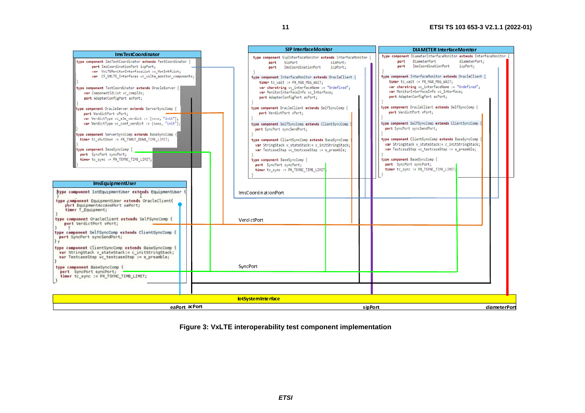|                                                                                                                                                                                                                                                                                                                                                                                                                                                                                                                                                                                                                                                                                                                                                                                                                                                                                                                                                                         |                                                                                                                                                                                                                                                                                                                                                                                                                                                                                                                                                                                                                                                                                                                                                                                                                                           |                      | <b>DIAMETER InterfaceMonitor</b>                                                                                                                                                                                                                                                                                                                                                                                                                                                                                                                                                                                                                                                                                                                                                               |                           |
|-------------------------------------------------------------------------------------------------------------------------------------------------------------------------------------------------------------------------------------------------------------------------------------------------------------------------------------------------------------------------------------------------------------------------------------------------------------------------------------------------------------------------------------------------------------------------------------------------------------------------------------------------------------------------------------------------------------------------------------------------------------------------------------------------------------------------------------------------------------------------------------------------------------------------------------------------------------------------|-------------------------------------------------------------------------------------------------------------------------------------------------------------------------------------------------------------------------------------------------------------------------------------------------------------------------------------------------------------------------------------------------------------------------------------------------------------------------------------------------------------------------------------------------------------------------------------------------------------------------------------------------------------------------------------------------------------------------------------------------------------------------------------------------------------------------------------------|----------------------|------------------------------------------------------------------------------------------------------------------------------------------------------------------------------------------------------------------------------------------------------------------------------------------------------------------------------------------------------------------------------------------------------------------------------------------------------------------------------------------------------------------------------------------------------------------------------------------------------------------------------------------------------------------------------------------------------------------------------------------------------------------------------------------------|---------------------------|
| ImsTestCoordinator<br>type component ImsTestCoordinator extends TestCoordinator {<br>port ImsCoordinationPort icpPort:<br>var VxLTEMonitorInterfaceList vc MonIntfList;<br>var CF VXLTE Interfaces vc vxlte monitor components;<br>type component TestCoordinator extends OracleServer {<br>var ComponentIdList vc compIds;<br>port AdapterConfigPort acPort;<br>type component OracleServer extends ServerSyncComp {<br>port VerdictPort vPort;<br>var VerdictType vc_e3e_verdict := {none, "init"};<br>var VerdictType vc conf verdict := {none, "init"};<br>type component ServerSyncComp extends BaseSyncComp {<br>timer to shutDown := PX_TSHUT_DOWN_TIME_LIMIT;<br>type component BaseSyncComp {<br>port SyncPort syncPort;<br>timer to sync := PX TSYNC TIME LIMIT;<br>ImsEquipmentUser<br>type component IotEquipmentUser extends EquipmentUser<br>type component EquipmentUser extends OracleClient{<br>port EquipmentAccessPort eaPort;<br>timer T Equipment: | <b>SIP InterfaceMonitor</b><br>type component SipInterfaceMonitor extends InterfaceMonitor<br>SipPort<br>port<br>ImsCoordinationPort<br>port<br>type component InterfaceMonitor extends OracleClient {<br>timer to wait := PX MAX MSG WAIT;<br>var charstring vc interfaceName := "Undefined";<br>var MonitorInterfaceInfo vc Interface;<br>port AdapterConfigPort acPort;<br>type component OracleClient extends SelfSyncComp {<br>port VerdictPort vPort;<br>type component SelfSyncComp extends ClientSyncComp<br>port SyncPort syncSendPort;<br>type component ClientSyncComp extends BaseSyncComp<br>var StringStack v stateStack:= c initStringStack;<br>var TestcaseStep vc_testcaseStep := e_preamble;<br>type component BaseSyncComp {<br>port SyncPort syncPort;<br>timer to sync := PX TSYNC TIME LIMIT<br>ImsCoordinationPort | sipPort;<br>icpPort; | type component DiameterInterfaceMonitor extends InterfaceMonitor<br>DiameterPort<br>port<br>ImsCoordinationPort<br>port<br>type component InterfaceMonitor extends OracleClient {<br>timer tc_wait := PX_MAX_MSG_WAIT;<br>var charstring vc interfaceName := "Undefined";<br>var MonitorInterfaceInfo vc Interface;<br>port AdapterConfigPort acPort;<br>type component OracleClient extends SelfSyncComp {<br>port VerdictPort vPort;<br>type component SelfSyncComp extends ClientSyncComp<br>port SyncPort syncSendPort;<br>type component ClientSyncComp extends BaseSyncComp<br>var StringStack v stateStack:= c initStringStack;<br>var TestcaseStep vc_testcaseStep := e_preamble;<br>type component BaseSyncComp {<br>port SyncPort syncPort;<br>timer tc_sync := PX_TSYNC_TIME_LIMIT; | diameterPort;<br>icpPort; |
| type component OracleClient extends SelfSyncComp {<br>port VerdictPort vPort;                                                                                                                                                                                                                                                                                                                                                                                                                                                                                                                                                                                                                                                                                                                                                                                                                                                                                           | VerdictPort                                                                                                                                                                                                                                                                                                                                                                                                                                                                                                                                                                                                                                                                                                                                                                                                                               |                      |                                                                                                                                                                                                                                                                                                                                                                                                                                                                                                                                                                                                                                                                                                                                                                                                |                           |
| type component SelfSyncComp extends ClientSyncComp {<br>port SyncPort syncSendPort;<br>type component ClientSyncComp extends BaseSyncComp {<br>war StringStack v_stateStack:= c_initStringStack;<br>var TestcaseStep vc testcaseStep := e_preamble;<br>type component BaseSyncComp {<br>port SyncPort syncPort;                                                                                                                                                                                                                                                                                                                                                                                                                                                                                                                                                                                                                                                         | SyncPort                                                                                                                                                                                                                                                                                                                                                                                                                                                                                                                                                                                                                                                                                                                                                                                                                                  |                      |                                                                                                                                                                                                                                                                                                                                                                                                                                                                                                                                                                                                                                                                                                                                                                                                |                           |
| timer to sync := PX TSYNC TIME LIMIT;                                                                                                                                                                                                                                                                                                                                                                                                                                                                                                                                                                                                                                                                                                                                                                                                                                                                                                                                   |                                                                                                                                                                                                                                                                                                                                                                                                                                                                                                                                                                                                                                                                                                                                                                                                                                           |                      |                                                                                                                                                                                                                                                                                                                                                                                                                                                                                                                                                                                                                                                                                                                                                                                                |                           |
|                                                                                                                                                                                                                                                                                                                                                                                                                                                                                                                                                                                                                                                                                                                                                                                                                                                                                                                                                                         | lotSystemInterface                                                                                                                                                                                                                                                                                                                                                                                                                                                                                                                                                                                                                                                                                                                                                                                                                        |                      |                                                                                                                                                                                                                                                                                                                                                                                                                                                                                                                                                                                                                                                                                                                                                                                                |                           |
| eaPort acPort                                                                                                                                                                                                                                                                                                                                                                                                                                                                                                                                                                                                                                                                                                                                                                                                                                                                                                                                                           |                                                                                                                                                                                                                                                                                                                                                                                                                                                                                                                                                                                                                                                                                                                                                                                                                                           | sipPort              |                                                                                                                                                                                                                                                                                                                                                                                                                                                                                                                                                                                                                                                                                                                                                                                                | diameterPort              |

**Figure 3: VxLTE interoperability test component implementation**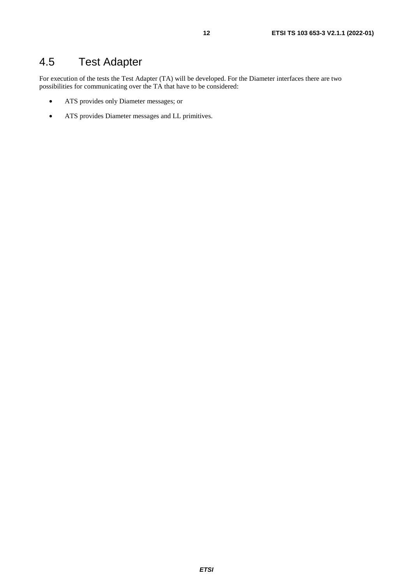# <span id="page-11-0"></span>4.5 Test Adapter

For execution of the tests the Test Adapter (TA) will be developed. For the Diameter interfaces there are two possibilities for communicating over the TA that have to be considered:

- ATS provides only Diameter messages; or
- ATS provides Diameter messages and LL primitives.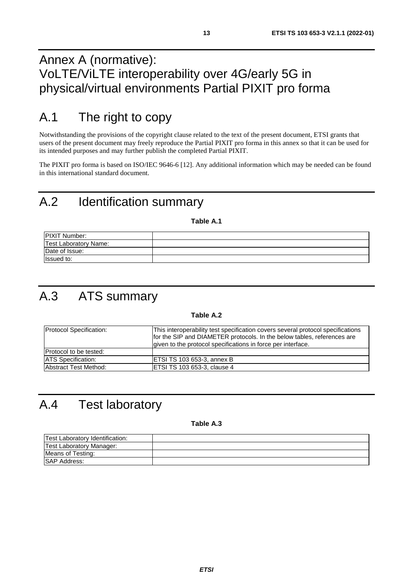# <span id="page-12-0"></span>Annex A (normative): VoLTE/ViLTE interoperability over 4G/early 5G in physical/virtual environments Partial PIXIT pro forma

# A.1 The right to copy

Notwithstanding the provisions of the copyright clause related to the text of the present document, ETSI grants that users of the present document may freely reproduce the Partial PIXIT pro forma in this annex so that it can be used for its intended purposes and may further publish the completed Partial PIXIT.

The PIXIT pro forma is based on ISO/IEC 9646-6 [[12](#page-5-0)]. Any additional information which may be needed can be found in this international standard document.

# A.2 Identification summary

**Table A.1** 

| <b>IPIXIT Number:</b>        |  |
|------------------------------|--|
| <b>Test Laboratory Name:</b> |  |
| Date of Issue:               |  |
| <b>Issued to:</b>            |  |

# A.3 ATS summary

#### **Table A.2**

| <b>Protocol Specification:</b> | This interoperability test specification covers several protocol specifications<br>for the SIP and DIAMETER protocols. In the below tables, references are<br>given to the protocol specifications in force per interface. |
|--------------------------------|----------------------------------------------------------------------------------------------------------------------------------------------------------------------------------------------------------------------------|
| Protocol to be tested:         |                                                                                                                                                                                                                            |
| <b>ATS</b> Specification:      | ETSI TS 103 653-3, annex B                                                                                                                                                                                                 |
| Abstract Test Method:          | IETSI TS 103 653-3, clause 4                                                                                                                                                                                               |

# A.4 Test laboratory

**Table A.3** 

| <b>Test Laboratory Identification:</b> |  |
|----------------------------------------|--|
| Test Laboratory Manager:               |  |
| Means of Testing:                      |  |
| <b>SAP Address:</b>                    |  |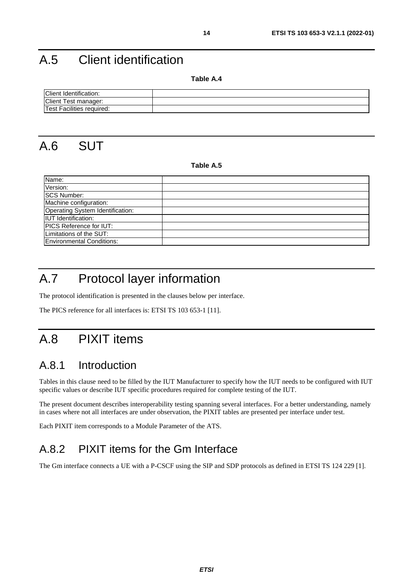# <span id="page-13-0"></span>A.5 Client identification

**Table A.4** 

| Client Identification:    |  |
|---------------------------|--|
| Client Test manager:      |  |
| Test Facilities required: |  |

A.6 SUT

#### **Table A.5**

| Name:                            |  |
|----------------------------------|--|
| Version:                         |  |
| <b>SCS Number:</b>               |  |
| Machine configuration:           |  |
| Operating System Identification: |  |
| <b>IUT</b> Identification:       |  |
| <b>PICS Reference for IUT:</b>   |  |
| Limitations of the SUT:          |  |
| <b>Environmental Conditions:</b> |  |

# A.7 Protocol layer information

The protocol identification is presented in the clauses below per interface.

The PICS reference for all interfaces is: ETSI TS 103 653-1 [[11](#page-5-0)].

# A.8 PIXIT items

#### A.8.1 Introduction

Tables in this clause need to be filled by the IUT Manufacturer to specify how the IUT needs to be configured with IUT specific values or describe IUT specific procedures required for complete testing of the IUT.

The present document describes interoperability testing spanning several interfaces. For a better understanding, namely in cases where not all interfaces are under observation, the PIXIT tables are presented per interface under test.

Each PIXIT item corresponds to a Module Parameter of the ATS.

### A.8.2 PIXIT items for the Gm Interface

The Gm interface connects a UE with a P-CSCF using the SIP and SDP protocols as defined in ETSI TS 124 229 [\[1](#page-4-0)].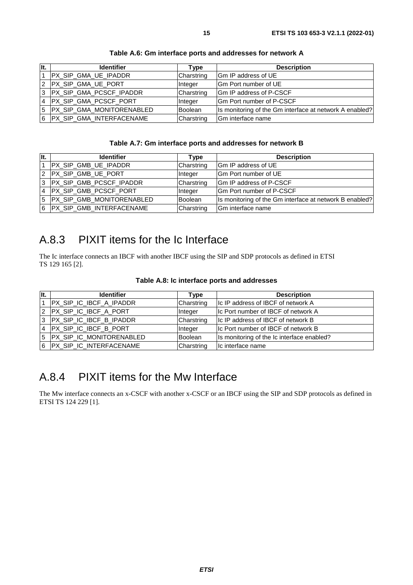<span id="page-14-0"></span>

| It. | <b>Identifier</b>           | Type           | <b>Description</b>                                      |
|-----|-----------------------------|----------------|---------------------------------------------------------|
|     | PX_SIP_GMA_UE_IPADDR        | Charstring     | Gm IP address of UE                                     |
|     | 2 PX_SIP_GMA_UE_PORT        | Integer        | IGm Port number of UE                                   |
|     | 3  PX_SIP_GMA_PCSCF_IPADDR  | Charstring     | <b>IGm IP address of P-CSCF</b>                         |
|     | 4 PX_SIP_GMA_PCSCF_PORT     | Integer        | <b>IGm Port number of P-CSCF</b>                        |
|     | 5 PX_SIP_GMA_MONITORENABLED | <b>Boolean</b> | Is monitoring of the Gm interface at network A enabled? |
|     | 6 PX_SIP_GMA_INTERFACENAME  | Charstring     | Gm interface name                                       |

**Table A.6: Gm interface ports and addresses for network A** 

#### **Table A.7: Gm interface ports and addresses for network B**

| lit. | <b>Identifier</b>           | Type       | <b>Description</b>                                      |
|------|-----------------------------|------------|---------------------------------------------------------|
|      | PX_SIP_GMB_UE_IPADDR        | Charstring | Gm IP address of UE                                     |
|      | 2 PX SIP GMB UE PORT        | Integer    | Gm Port number of UE                                    |
|      | 3 PX SIP_GMB_PCSCF_IPADDR   | Charstring | Gm IP address of P-CSCF                                 |
|      | 4 PX_SIP_GMB_PCSCF_PORT     | Integer    | <b>IGm Port number of P-CSCF</b>                        |
|      | 5 PX_SIP_GMB_MONITORENABLED | Boolean    | Is monitoring of the Gm interface at network B enabled? |
|      | 6 PX SIP GMB INTERFACENAME  | Charstring | <b>IGm</b> interface name                               |

# A.8.3 PIXIT items for the Ic Interface

The Ic interface connects an IBCF with another IBCF using the SIP and SDP protocols as defined in ETSI TS 129 165 [\[2](#page-4-0)].

|  |  |  |  |  | Table A.8: Ic interface ports and addresses |
|--|--|--|--|--|---------------------------------------------|
|--|--|--|--|--|---------------------------------------------|

| llt. | <b>Identifier</b>          | Type       | <b>Description</b>                         |
|------|----------------------------|------------|--------------------------------------------|
|      | PX_SIP_IC_IBCF_A_IPADDR    | Charstring | Ic IP address of IBCF of network A         |
|      | 2 PX_SIP_IC_IBCF_A_PORT    | Integer    | IIc Port number of IBCF of network A       |
|      | 3 PX_SIP_IC_IBCF_B_IPADDR  | Charstring | Ic IP address of IBCF of network B         |
|      | 4   PX_SIP_IC_IBCF_B_PORT  | Integer    | Ic Port number of IBCF of network B        |
|      | 5 PX_SIP_IC_MONITORENABLED | Boolean    | Is monitoring of the Ic interface enabled? |
|      | 6 PX_SIP_IC_INTERFACENAME  | Charstring | Ic interface name                          |

# A.8.4 PIXIT items for the Mw Interface

The Mw interface connects an x-CSCF with another x-CSCF or an IBCF using the SIP and SDP protocols as defined in ETSI TS 124 229 [\[1\]](#page-4-0).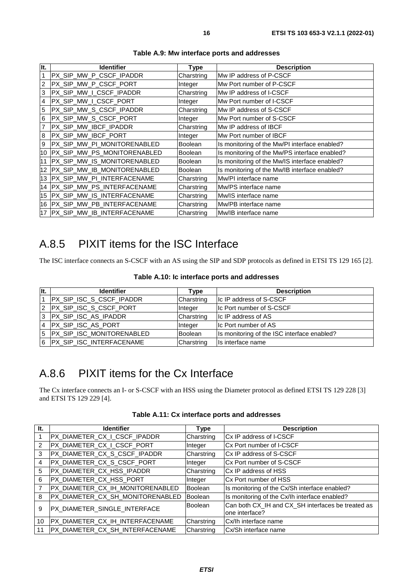<span id="page-15-0"></span>

| It.            | <b>Identifier</b>               | <b>Type</b>    | <b>Description</b>                            |
|----------------|---------------------------------|----------------|-----------------------------------------------|
| 1              | PX_SIP_MW_P_CSCF_IPADDR         | Charstring     | Mw IP address of P-CSCF                       |
| $\overline{2}$ | PX_SIP_MW_P_CSCF_PORT           | Integer        | Mw Port number of P-CSCF                      |
| 3              | PX_SIP_MW_I_CSCF_IPADDR         | Charstring     | Mw IP address of I-CSCF                       |
| 4              | PX_SIP_MW_I_CSCF_PORT           | Integer        | Mw Port number of I-CSCF                      |
| 5              | PX SIP MW S CSCF IPADDR         | Charstring     | Mw IP address of S-CSCF                       |
| 6              | PX_SIP_MW_S_CSCF_PORT           | Integer        | Mw Port number of S-CSCF                      |
| $\overline{7}$ | PX_SIP_MW_IBCF_IPADDR           | Charstring     | Mw IP address of IBCF                         |
| 8              | PX_SIP_MW_IBCF_PORT             | Integer        | Mw Port number of IBCF                        |
| 9              | PX_SIP_MW_PI_MONITORENABLED     | <b>Boolean</b> | Is monitoring of the Mw/PI interface enabled? |
|                | 10 PX_SIP_MW_PS_MONITORENABLED  | <b>Boolean</b> | Is monitoring of the Mw/PS interface enabled? |
|                | 11 PX_SIP_MW_IS_MONITORENABLED  | <b>Boolean</b> | Is monitoring of the Mw/IS interface enabled? |
|                | 12 PX_SIP_MW_IB_MONITORENABLED  | <b>Boolean</b> | Is monitoring of the Mw/IB interface enabled? |
|                | 13 PX SIP MW PI INTERFACENAME   | Charstring     | Mw/PI interface name                          |
|                | 14 PX_SIP_MW_PS_INTERFACENAME   | Charstring     | Mw/PS interface name                          |
|                | 15 PX_SIP_MW_IS_INTERFACENAME   | Charstring     | Mw/IS interface name                          |
|                | 16 PX_SIP_MW_PB_INTERFACENAME   | Charstring     | Mw/PB interface name                          |
|                | 17   PX_SIP_MW_IB_INTERFACENAME | Charstring     | Mw/IB interface name                          |

**Table A.9: Mw interface ports and addresses** 

### A.8.5 PIXIT items for the ISC Interface

The ISC interface connects an S-CSCF with an AS using the SIP and SDP protocols as defined in ETSI TS 129 165 [\[2](#page-4-0)].

| It. | <b>Identifier</b>               | Type           | <b>Description</b>                          |
|-----|---------------------------------|----------------|---------------------------------------------|
|     | <b>PX SIP ISC S CSCF IPADDR</b> | Charstring     | <b>Ic IP address of S-CSCF</b>              |
|     | 2 PX_SIP_ISC_S_CSCF_PORT        | Integer        | <b>Ic Port number of S-CSCF</b>             |
|     | 3 PX SIP_ISC_AS_IPADDR          | Charstring     | Ic IP address of AS                         |
|     | 4 PX SIP ISC AS PORT            | Integer        | Ic Port number of AS                        |
|     | 5 PX_SIP_ISC_MONITORENABLED     | <b>Boolean</b> | Is monitoring of the ISC interface enabled? |
|     | 6   PX_SIP_ISC_INTERFACENAME    | Charstring     | Is interface name                           |

# A.8.6 PIXIT items for the Cx Interface

The Cx interface connects an I- or S-CSCF with an HSS using the Diameter protocol as defined ETSI TS 129 228 [[3](#page-4-0)] and ETSI TS 129 229 [[4\]](#page-5-0).

| Table A.11: Cx interface ports and addresses |  |  |  |
|----------------------------------------------|--|--|--|
|----------------------------------------------|--|--|--|

| It.            | <b>Identifier</b>                | Type           | <b>Description</b>                                                   |
|----------------|----------------------------------|----------------|----------------------------------------------------------------------|
|                | PX_DIAMETER_CX_I_CSCF_IPADDR     | Charstring     | <b>ICx IP address of I-CSCF</b>                                      |
| $\overline{2}$ | PX_DIAMETER_CX_I_CSCF_PORT       | Integer        | ICx Port number of I-CSCF                                            |
| 3              | PX_DIAMETER_CX_S_CSCF_IPADDR     | Charstring     | ICx IP address of S-CSCF                                             |
| 4              | PX_DIAMETER_CX_S_CSCF_PORT       | Integer        | Cx Port number of S-CSCF                                             |
| 5              | PX_DIAMETER_CX_HSS_IPADDR        | Charstring     | <b>ICx IP address of HSS</b>                                         |
| 6              | PX_DIAMETER_CX_HSS_PORT          | Integer        | ICx Port number of HSS                                               |
|                | PX_DIAMETER_CX_IH_MONITORENABLED | Boolean        | Is monitoring of the Cx/Sh interface enabled?                        |
| 8              | PX_DIAMETER_CX_SH_MONITORENABLED | <b>Boolean</b> | Is monitoring of the Cx/Ih interface enabled?                        |
| 9              | PX_DIAMETER_SINGLE_INTERFACE     | Boolean        | Can both CX_IH and CX_SH interfaces be treated as<br>lone interface? |
| 10             | PX_DIAMETER_CX_IH_INTERFACENAME  | Charstring     | Cx/Ih interface name                                                 |
| 11             | PX_DIAMETER_CX_SH_INTERFACENAME  | Charstring     | Cx/Sh interface name                                                 |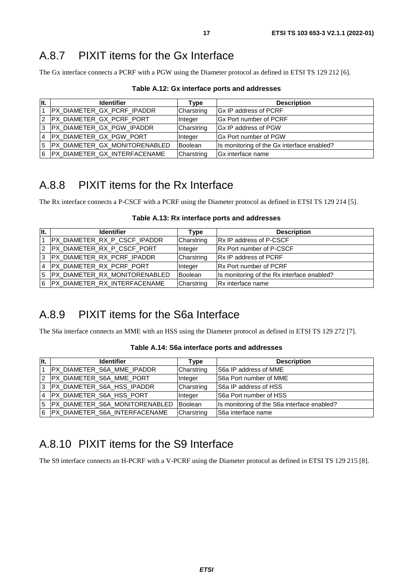### <span id="page-16-0"></span>A.8.7 PIXIT items for the Gx Interface

The Gx interface connects a PCRF with a PGW using the Diameter protocol as defined in ETSI TS 129 212 [[6](#page-5-0)].

| Table A.12: Gx interface ports and addresses |  |  |  |
|----------------------------------------------|--|--|--|
|----------------------------------------------|--|--|--|

| It. | <b>Identifier</b>                 | Type       | <b>Description</b>                         |
|-----|-----------------------------------|------------|--------------------------------------------|
|     | <b>PX_DIAMETER_GX_PCRF_IPADDR</b> | Charstring | Gx IP address of PCRF                      |
|     | 2 PX_DIAMETER_GX_PCRF_PORT        | Integer    | <b>IGx Port number of PCRF</b>             |
|     | 3 PX_DIAMETER_GX_PGW_IPADDR       | Charstring | <b>IGx IP address of PGW</b>               |
|     | 4 PX_DIAMETER_GX_PGW_PORT         | Integer    | <b>IGx Port number of PGW</b>              |
|     | 5 PX_DIAMETER_GX_MONITORENABLED   | Boolean    | Is monitoring of the Gx interface enabled? |
|     | 6   PX_DIAMETER_GX_INTERFACENAME  | Charstring | Gx interface name                          |

### A.8.8 PIXIT items for the Rx Interface

The Rx interface connects a P-CSCF with a PCRF using the Diameter protocol as defined in ETSI TS 129 214 [[5\]](#page-5-0).

| llt.           | <b>Identifier</b>                 | Type           | <b>Description</b>                         |
|----------------|-----------------------------------|----------------|--------------------------------------------|
|                | PX_DIAMETER_RX_P_CSCF_IPADDR      | Charstring     | <b>Rx IP address of P-CSCF</b>             |
|                | 2 PX DIAMETER RX P CSCF PORT      | <b>Integer</b> | <b>Rx Port number of P-CSCF</b>            |
| 3              | PX_DIAMETER_RX_PCRF_IPADDR        | Charstring     | <b>Rx IP address of PCRF</b>               |
| $\overline{4}$ | PX_DIAMETER_RX_PCRF_PORT          | Integer        | <b>IRx Port number of PCRF</b>             |
|                | 5   PX_DIAMETER_RX_MONITORENABLED | Boolean        | Is monitoring of the Rx interface enabled? |
| 6              | PX_DIAMETER_RX_INTERFACENAME      | Charstring     | <b>Rx</b> interface name                   |

#### **Table A.13: Rx interface ports and addresses**

# A.8.9 PIXIT items for the S6a Interface

The S6a interface connects an MME with an HSS using the Diameter protocol as defined in ETSI TS 129 272 [[7](#page-5-0)].

| It.            | <b>Identifier</b>                | Type       | <b>Description</b>                          |
|----------------|----------------------------------|------------|---------------------------------------------|
| $\overline{1}$ | PX_DIAMETER_S6A_MME_IPADDR       | Charstring | <b>S6a IP address of MME</b>                |
|                | 2 PX_DIAMETER_S6A_MME_PORT       | Integer    | <b>S6a Port number of MME</b>               |
|                | 3 PX DIAMETER S6A HSS IPADDR     | Charstring | <b>S6a IP address of HSS</b>                |
|                | 4 PX_DIAMETER_S6A_HSS_PORT       | Integer    | <b>S6a Port number of HSS</b>               |
|                | 5 PX_DIAMETER_S6A_MONITORENABLED | Boolean    | Is monitoring of the S6a interface enabled? |
|                | 6 PX_DIAMETER_S6A_INTERFACENAME  | Charstring | S6a interface name                          |

#### **Table A.14: S6a interface ports and addresses**

# A.8.10 PIXIT items for the S9 Interface

The S9 interface connects an H-PCRF with a V-PCRF using the Diameter protocol as defined in ETSI TS 129 215 [[8\]](#page-5-0).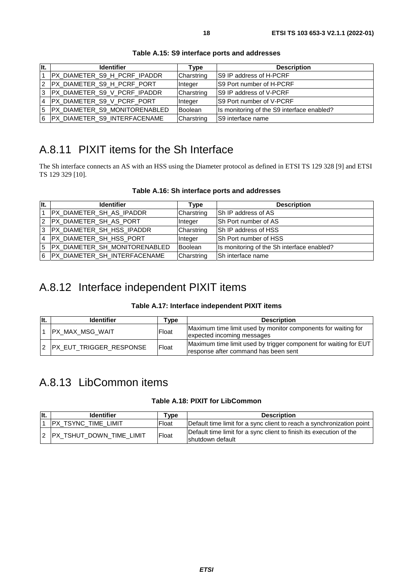<span id="page-17-0"></span>

| It. | <b>Identifier</b>               | Type       | <b>Description</b>                         |
|-----|---------------------------------|------------|--------------------------------------------|
|     | PX_DIAMETER_S9_H_PCRF_IPADDR    | Charstring | S9 IP address of H-PCRF                    |
|     | 2 PX_DIAMETER_S9_H_PCRF_PORT    | Integer    | IS9 Port number of H-PCRF                  |
|     | 3 PX_DIAMETER_S9_V_PCRF_IPADDR  | Charstring | IS9 IP address of V-PCRF                   |
|     |                                 | Integer    | S9 Port number of V-PCRF                   |
|     | 5 PX_DIAMETER_S9_MONITORENABLED | Boolean    | Is monitoring of the S9 interface enabled? |
|     | 6 PX DIAMETER S9 INTERFACENAME  | Charstring | S9 interface name                          |

**Table A.15: S9 interface ports and addresses** 

# A.8.11 PIXIT items for the Sh Interface

The Sh interface connects an AS with an HSS using the Diameter protocol as defined in ETSI TS 129 328 [\[9](#page-5-0)] and ETSI TS 129 329 [\[10](#page-5-0)].

| Table A.16: Sh interface ports and addresses |  |
|----------------------------------------------|--|
|----------------------------------------------|--|

| llt. | <b>Identifier</b>                 | Type       | <b>Description</b>                         |
|------|-----------------------------------|------------|--------------------------------------------|
|      | <b>PX DIAMETER SH AS IPADDR</b>   | Charstring | <b>Sh IP address of AS</b>                 |
|      | 2 PX DIAMETER SH AS PORT          | Integer    | <b>ISh Port number of AS</b>               |
|      | 3  PX_DIAMETER_SH_HSS_IPADDR      | Charstring | Sh IP address of HSS                       |
|      | 4  PX_DIAMETER_SH_HSS_PORT        | Integer    | ISh Port number of HSS                     |
|      | 5   PX_DIAMETER_SH_MONITORENABLED | Boolean    | Is monitoring of the Sh interface enabled? |
|      | 6 PX DIAMETER SH INTERFACENAME    | Charstring | ISh interface name                         |

# A.8.12 Interface independent PIXIT items

#### **Table A.17: Interface independent PIXIT items**

| llt. | <b>Identifier</b>       | vpe   | <b>Description</b>                                                                                       |
|------|-------------------------|-------|----------------------------------------------------------------------------------------------------------|
|      | PX_MAX_MSG_WAIT         | Float | Maximum time limit used by monitor components for waiting for<br>expected incoming messages              |
|      | PX_EUT_TRIGGER_RESPONSE | Float | Maximum time limit used by trigger component for waiting for EUT<br>response after command has been sent |

### A.8.13 LibCommon items

#### **Table A.18: PIXIT for LibCommon**

| llt. | <b>Identifier</b>           | ™vpe  | <b>Description</b>                                                                       |
|------|-----------------------------|-------|------------------------------------------------------------------------------------------|
|      | PX_TSYNC_TIME_LIMIT         | Float | Default time limit for a sync client to reach a synchronization point                    |
|      | 2 IPX TSHUT DOWN TIME LIMIT | Float | Default time limit for a sync client to finish its execution of the<br>Ishutdown default |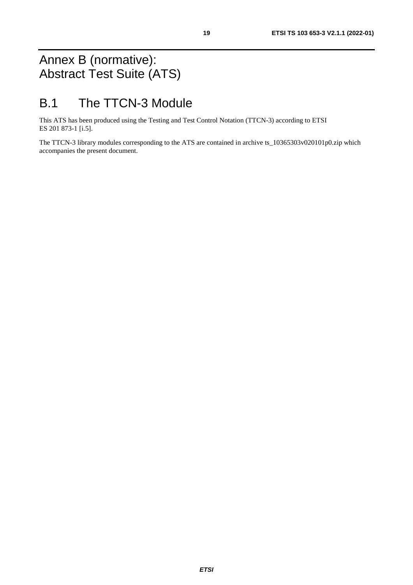# <span id="page-18-0"></span>Annex B (normative): Abstract Test Suite (ATS)

# B.1 The TTCN-3 Module

This ATS has been produced using the Testing and Test Control Notation (TTCN-3) according to ETSI ES 201 873-1 [\[i.5\]](#page-5-0).

The TTCN-3 library modules corresponding to the ATS are contained in archive ts\_10365303v020101p0.zip which accompanies the present document.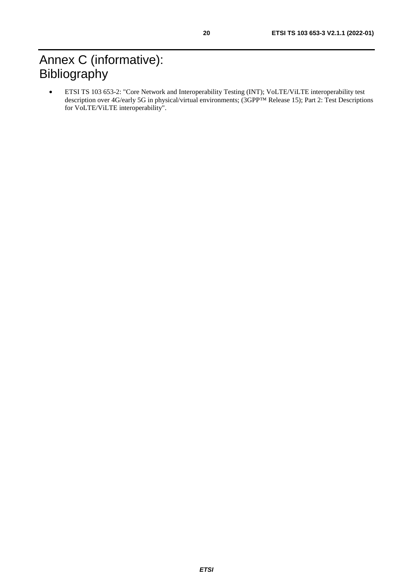# <span id="page-19-0"></span>Annex C (informative): **Bibliography**

• ETSI TS 103 653-2: "Core Network and Interoperability Testing (INT); VoLTE/ViLTE interoperability test description over 4G/early 5G in physical/virtual environments; (3GPP™ Release 15); Part 2: Test Descriptions for VoLTE/ViLTE interoperability".